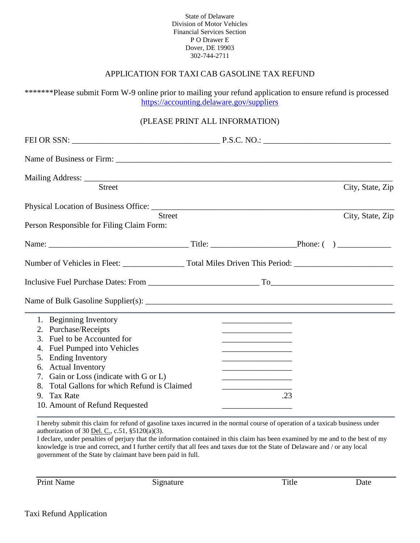State of Delaware Division of Motor Vehicles Financial Services Section P O Drawer E Dover, DE 19903 302-744-2711

## APPLICATION FOR TAXI CAB GASOLINE TAX REFUND

\*\*\*\*\*\*\*Please submit Form W-9 online prior to mailing your refund application to ensure refund is processed [https://accounting.delaware.gov/suppliers](https://accounting.delaware.gov/suppliers/)

## (PLEASE PRINT ALL INFORMATION)

| <b>Street</b>                                   |  |                                                                            |  | City, State, Zip |  |  |  |  |
|-------------------------------------------------|--|----------------------------------------------------------------------------|--|------------------|--|--|--|--|
| <b>Street</b>                                   |  |                                                                            |  | City, State, Zip |  |  |  |  |
| Person Responsible for Filing Claim Form:       |  |                                                                            |  |                  |  |  |  |  |
|                                                 |  |                                                                            |  |                  |  |  |  |  |
|                                                 |  |                                                                            |  |                  |  |  |  |  |
|                                                 |  |                                                                            |  |                  |  |  |  |  |
|                                                 |  |                                                                            |  |                  |  |  |  |  |
| 1. Beginning Inventory                          |  |                                                                            |  |                  |  |  |  |  |
| 2. Purchase/Receipts                            |  | the control of the control of the control of the control of the control of |  |                  |  |  |  |  |
| 3. Fuel to be Accounted for                     |  |                                                                            |  |                  |  |  |  |  |
| <b>Fuel Pumped into Vehicles</b><br>4.          |  | the control of the control of the control of the control of the control of |  |                  |  |  |  |  |
| <b>Ending Inventory</b><br>5.                   |  |                                                                            |  |                  |  |  |  |  |
| 6. Actual Inventory                             |  |                                                                            |  |                  |  |  |  |  |
| 7. Gain or Loss (indicate with G or L)          |  |                                                                            |  |                  |  |  |  |  |
| Total Gallons for which Refund is Claimed<br>8. |  |                                                                            |  |                  |  |  |  |  |
| <b>Tax Rate</b><br>9.                           |  | .23                                                                        |  |                  |  |  |  |  |
| 10. Amount of Refund Requested                  |  |                                                                            |  |                  |  |  |  |  |

I hereby submit this claim for refund of gasoline taxes incurred in the normal course of operation of a taxicab business under authorization of 30 <u>Del. C.</u>, c.51,  $§5120(a)(3)$ .

I declare, under penalties of perjury that the information contained in this claim has been examined by me and to the best of my knowledge is true and correct, and I further certify that all fees and taxes due tot the State of Delaware and / or any local government of the State by claimant have been paid in full.